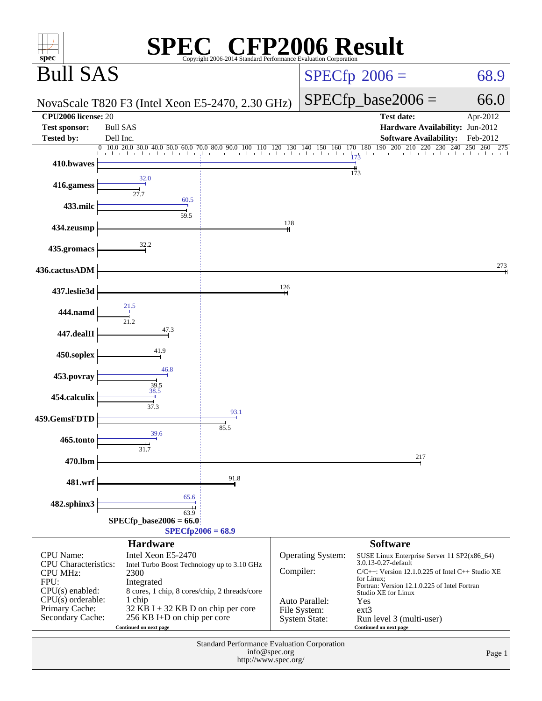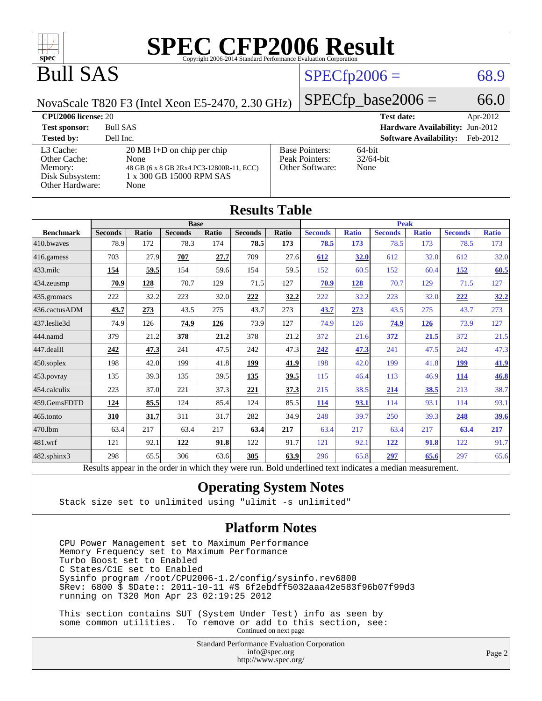

# Bull SAS

# $SPECfp2006 = 68.9$  $SPECfp2006 = 68.9$

NovaScale T820 F3 (Intel Xeon E5-2470, 2.30 GHz)

 $SPECTp\_base2006 = 66.0$ 

| <b>CPU2006 license: 20</b>                                                 |                                                                                                                              |                                                            | <b>Test date:</b><br>Apr-2012             |
|----------------------------------------------------------------------------|------------------------------------------------------------------------------------------------------------------------------|------------------------------------------------------------|-------------------------------------------|
| <b>Test sponsor:</b>                                                       | <b>Bull SAS</b>                                                                                                              |                                                            | <b>Hardware Availability: Jun-2012</b>    |
| <b>Tested by:</b>                                                          | Dell Inc.                                                                                                                    |                                                            | <b>Software Availability:</b><br>Feb-2012 |
| L3 Cache:<br>Other Cache:<br>Memory:<br>Disk Subsystem:<br>Other Hardware: | $20 \text{ MB I+D}$ on chip per chip<br>None<br>48 GB (6 x 8 GB 2Rx4 PC3-12800R-11, ECC)<br>1 x 300 GB 15000 RPM SAS<br>None | <b>Base Pointers:</b><br>Peak Pointers:<br>Other Software: | $64$ -bit<br>$32/64$ -bit<br>None         |

**[Results Table](http://www.spec.org/auto/cpu2006/Docs/result-fields.html#ResultsTable)**

|                  | Results Table                                                                                            |              |                |       |                |       |                |              |                |              |                |              |
|------------------|----------------------------------------------------------------------------------------------------------|--------------|----------------|-------|----------------|-------|----------------|--------------|----------------|--------------|----------------|--------------|
|                  |                                                                                                          | <b>Base</b>  |                |       |                |       | <b>Peak</b>    |              |                |              |                |              |
| <b>Benchmark</b> | <b>Seconds</b>                                                                                           | <b>Ratio</b> | <b>Seconds</b> | Ratio | <b>Seconds</b> | Ratio | <b>Seconds</b> | <b>Ratio</b> | <b>Seconds</b> | <b>Ratio</b> | <b>Seconds</b> | <b>Ratio</b> |
| 410.bwayes       | 78.9                                                                                                     | 172          | 78.3           | 174   | 78.5           | 173   | 78.5           | 173          | 78.5           | 173          | 78.5           | 173          |
| 416.gamess       | 703                                                                                                      | 27.9         | 707            | 27.7  | 709            | 27.6  | 612            | 32.0         | 612            | 32.0         | 612            | 32.0         |
| $433$ .milc      | 154                                                                                                      | 59.5         | 154            | 59.6  | 154            | 59.5  | 152            | 60.5         | 152            | 60.4         | <u>152</u>     | 60.5         |
| 434.zeusmp       | 70.9                                                                                                     | 128          | 70.7           | 129   | 71.5           | 127   | 70.9           | 128          | 70.7           | 129          | 71.5           | 127          |
| 435 gromacs      | 222                                                                                                      | 32.2         | 223            | 32.0  | 222            | 32.2  | 222            | 32.2         | 223            | 32.0         | 222            | 32.2         |
| 436.cactusADM    | 43.7                                                                                                     | 273          | 43.5           | 275   | 43.7           | 273   | 43.7           | 273          | 43.5           | 275          | 43.7           | 273          |
| 437.leslie3d     | 74.9                                                                                                     | 126          | 74.9           | 126   | 73.9           | 127   | 74.9           | 126          | 74.9           | 126          | 73.9           | 127          |
| 444.namd         | 379                                                                                                      | 21.2         | 378            | 21.2  | 378            | 21.2  | 372            | 21.6         | 372            | 21.5         | 372            | 21.5         |
| 447.dealII       | 242                                                                                                      | 47.3         | 241            | 47.5  | 242            | 47.3  | 242            | 47.3         | 241            | 47.5         | 242            | 47.3         |
| $450$ .soplex    | 198                                                                                                      | 42.0         | 199            | 41.8  | 199            | 41.9  | 198            | 42.0         | 199            | 41.8         | <u>199</u>     | 41.9         |
| 453.povray       | 135                                                                                                      | 39.3         | 135            | 39.5  | 135            | 39.5  | 115            | 46.4         | 113            | 46.9         | 114            | 46.8         |
| 454.calculix     | 223                                                                                                      | 37.0         | 221            | 37.3  | 221            | 37.3  | 215            | 38.5         | 214            | 38.5         | 213            | 38.7         |
| 459.GemsFDTD     | 124                                                                                                      | 85.5         | 124            | 85.4  | 124            | 85.5  | <u>114</u>     | 93.1         | 114            | 93.1         | 114            | 93.1         |
| $465$ .tonto     | 310                                                                                                      | 31.7         | 311            | 31.7  | 282            | 34.9  | 248            | 39.7         | 250            | 39.3         | 248            | <u>39.6</u>  |
| 470.1bm          | 63.4                                                                                                     | 217          | 63.4           | 217   | 63.4           | 217   | 63.4           | 217          | 63.4           | 217          | 63.4           | 217          |
| 481.wrf          | 121                                                                                                      | 92.1         | 122            | 91.8  | 122            | 91.7  | 121            | 92.1         | 122            | 91.8         | 122            | 91.7         |
| 482.sphinx3      | 298                                                                                                      | 65.5         | 306            | 63.6  | 305            | 63.9  | 296            | 65.8         | 297            | 65.6         | 297            | 65.6         |
|                  | Results appear in the order in which they were run. Bold underlined text indicates a median measurement. |              |                |       |                |       |                |              |                |              |                |              |

### **[Operating System Notes](http://www.spec.org/auto/cpu2006/Docs/result-fields.html#OperatingSystemNotes)**

Stack size set to unlimited using "ulimit -s unlimited"

#### **[Platform Notes](http://www.spec.org/auto/cpu2006/Docs/result-fields.html#PlatformNotes)**

 CPU Power Management set to Maximum Performance Memory Frequency set to Maximum Performance Turbo Boost set to Enabled C States/C1E set to Enabled Sysinfo program /root/CPU2006-1.2/config/sysinfo.rev6800 \$Rev: 6800 \$ \$Date:: 2011-10-11 #\$ 6f2ebdff5032aaa42e583f96b07f99d3 running on T320 Mon Apr 23 02:19:25 2012

 This section contains SUT (System Under Test) info as seen by some common utilities. To remove or add to this section, see: Continued on next page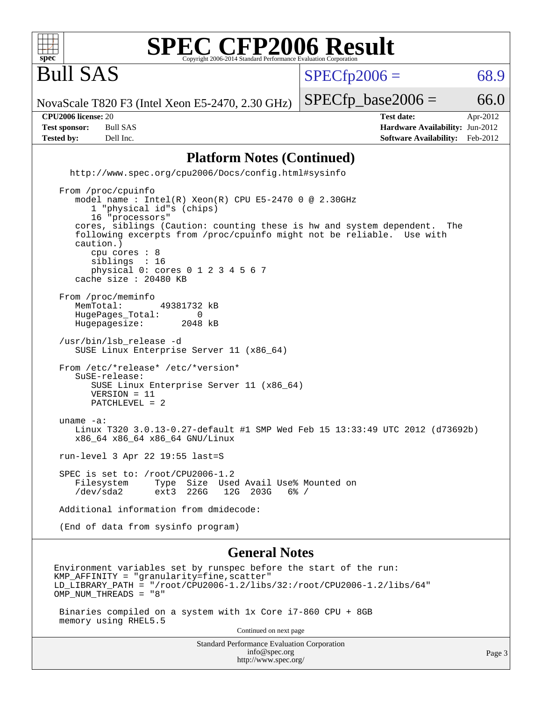

Bull SAS

 $SPECTp2006 = 68.9$ 

NovaScale T820 F3 (Intel Xeon E5-2470, 2.30 GHz)

**[Tested by:](http://www.spec.org/auto/cpu2006/Docs/result-fields.html#Testedby)** Dell Inc. **[Software Availability:](http://www.spec.org/auto/cpu2006/Docs/result-fields.html#SoftwareAvailability)** Feb-2012

**[CPU2006 license:](http://www.spec.org/auto/cpu2006/Docs/result-fields.html#CPU2006license)** 20 **[Test date:](http://www.spec.org/auto/cpu2006/Docs/result-fields.html#Testdate)** Apr-2012 **[Test sponsor:](http://www.spec.org/auto/cpu2006/Docs/result-fields.html#Testsponsor)** Bull SAS **[Hardware Availability:](http://www.spec.org/auto/cpu2006/Docs/result-fields.html#HardwareAvailability)** Jun-2012

 $SPECTp\_base2006 = 66.0$ 

### **[Platform Notes \(Continued\)](http://www.spec.org/auto/cpu2006/Docs/result-fields.html#PlatformNotes)**

 <http://www.spec.org/cpu2006/Docs/config.html#sysinfo> From /proc/cpuinfo model name : Intel(R) Xeon(R) CPU E5-2470 0 @ 2.30GHz 1 "physical id"s (chips) 16 "processors" cores, siblings (Caution: counting these is hw and system dependent. The following excerpts from /proc/cpuinfo might not be reliable. Use with caution.) cpu cores : 8 siblings : 16 physical 0: cores 0 1 2 3 4 5 6 7 cache size : 20480 KB From /proc/meminfo MemTotal: 49381732 kB HugePages\_Total: 0 Hugepagesize: 2048 kB

 /usr/bin/lsb\_release -d SUSE Linux Enterprise Server 11 (x86\_64)

 From /etc/\*release\* /etc/\*version\* SuSE-release: SUSE Linux Enterprise Server 11 (x86\_64) VERSION = 11 PATCHLEVEL = 2

 uname -a: Linux T320 3.0.13-0.27-default #1 SMP Wed Feb 15 13:33:49 UTC 2012 (d73692b) x86\_64 x86\_64 x86\_64 GNU/Linux

run-level 3 Apr 22 19:55 last=S

 SPEC is set to: /root/CPU2006-1.2 Filesystem Type Size Used Avail Use% Mounted on /dev/sda2 ext3 226G 12G 203G 6% /

Additional information from dmidecode:

(End of data from sysinfo program)

#### **[General Notes](http://www.spec.org/auto/cpu2006/Docs/result-fields.html#GeneralNotes)**

Environment variables set by runspec before the start of the run:  $KMP$  AFFINITY = "granularity=fine, scatter" LD\_LIBRARY\_PATH = "/root/CPU2006-1.2/libs/32:/root/CPU2006-1.2/libs/64" OMP\_NUM\_THREADS = "8"

 Binaries compiled on a system with 1x Core i7-860 CPU + 8GB memory using RHEL5.5

Continued on next page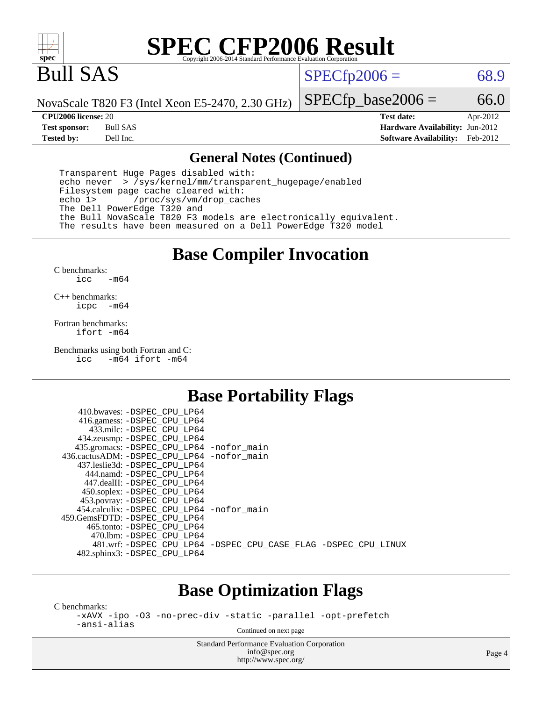

# Bull SAS

 $SPECTp2006 = 68.9$ 

NovaScale T820 F3 (Intel Xeon E5-2470, 2.30 GHz)

 $SPECfp\_base2006 = 66.0$ 

**[CPU2006 license:](http://www.spec.org/auto/cpu2006/Docs/result-fields.html#CPU2006license)** 20 **[Test date:](http://www.spec.org/auto/cpu2006/Docs/result-fields.html#Testdate)** Apr-2012 **[Test sponsor:](http://www.spec.org/auto/cpu2006/Docs/result-fields.html#Testsponsor)** Bull SAS **[Hardware Availability:](http://www.spec.org/auto/cpu2006/Docs/result-fields.html#HardwareAvailability)** Jun-2012 **[Tested by:](http://www.spec.org/auto/cpu2006/Docs/result-fields.html#Testedby)** Dell Inc. **[Software Availability:](http://www.spec.org/auto/cpu2006/Docs/result-fields.html#SoftwareAvailability)** Feb-2012

#### **[General Notes \(Continued\)](http://www.spec.org/auto/cpu2006/Docs/result-fields.html#GeneralNotes)**

 Transparent Huge Pages disabled with: echo never > /sys/kernel/mm/transparent\_hugepage/enabled Filesystem page cache cleared with: echo 1> /proc/sys/vm/drop\_caches The Dell PowerEdge T320 and the Bull NovaScale T820 F3 models are electronically equivalent. The results have been measured on a Dell PowerEdge T320 model

### **[Base Compiler Invocation](http://www.spec.org/auto/cpu2006/Docs/result-fields.html#BaseCompilerInvocation)**

[C benchmarks](http://www.spec.org/auto/cpu2006/Docs/result-fields.html#Cbenchmarks): [icc -m64](http://www.spec.org/cpu2006/results/res2012q3/cpu2006-20120703-23448.flags.html#user_CCbase_intel_icc_64bit_0b7121f5ab7cfabee23d88897260401c)

[C++ benchmarks:](http://www.spec.org/auto/cpu2006/Docs/result-fields.html#CXXbenchmarks) [icpc -m64](http://www.spec.org/cpu2006/results/res2012q3/cpu2006-20120703-23448.flags.html#user_CXXbase_intel_icpc_64bit_bedb90c1146cab66620883ef4f41a67e)

[Fortran benchmarks](http://www.spec.org/auto/cpu2006/Docs/result-fields.html#Fortranbenchmarks): [ifort -m64](http://www.spec.org/cpu2006/results/res2012q3/cpu2006-20120703-23448.flags.html#user_FCbase_intel_ifort_64bit_ee9d0fb25645d0210d97eb0527dcc06e)

[Benchmarks using both Fortran and C](http://www.spec.org/auto/cpu2006/Docs/result-fields.html#BenchmarksusingbothFortranandC): [icc -m64](http://www.spec.org/cpu2006/results/res2012q3/cpu2006-20120703-23448.flags.html#user_CC_FCbase_intel_icc_64bit_0b7121f5ab7cfabee23d88897260401c) [ifort -m64](http://www.spec.org/cpu2006/results/res2012q3/cpu2006-20120703-23448.flags.html#user_CC_FCbase_intel_ifort_64bit_ee9d0fb25645d0210d97eb0527dcc06e)

### **[Base Portability Flags](http://www.spec.org/auto/cpu2006/Docs/result-fields.html#BasePortabilityFlags)**

| 410.bwaves: -DSPEC CPU LP64<br>416.gamess: -DSPEC_CPU_LP64 |                                                                |
|------------------------------------------------------------|----------------------------------------------------------------|
| 433.milc: -DSPEC CPU LP64                                  |                                                                |
| 434.zeusmp: -DSPEC_CPU_LP64                                |                                                                |
| 435.gromacs: -DSPEC_CPU_LP64 -nofor_main                   |                                                                |
| 436.cactusADM: -DSPEC CPU LP64 -nofor main                 |                                                                |
| 437.leslie3d: -DSPEC CPU LP64                              |                                                                |
| 444.namd: - DSPEC CPU LP64                                 |                                                                |
| 447.dealII: -DSPEC_CPU_LP64                                |                                                                |
| 450.soplex: -DSPEC_CPU_LP64                                |                                                                |
| 453.povray: -DSPEC_CPU_LP64                                |                                                                |
| 454.calculix: -DSPEC_CPU_LP64 -nofor_main                  |                                                                |
| 459.GemsFDTD: -DSPEC CPU LP64                              |                                                                |
| 465.tonto: - DSPEC CPU LP64                                |                                                                |
| 470.1bm: - DSPEC CPU LP64                                  |                                                                |
|                                                            | 481.wrf: -DSPEC_CPU_LP64 -DSPEC_CPU_CASE_FLAG -DSPEC_CPU_LINUX |
| 482.sphinx3: -DSPEC_CPU_LP64                               |                                                                |
|                                                            |                                                                |

### **[Base Optimization Flags](http://www.spec.org/auto/cpu2006/Docs/result-fields.html#BaseOptimizationFlags)**

[C benchmarks](http://www.spec.org/auto/cpu2006/Docs/result-fields.html#Cbenchmarks):

[-xAVX](http://www.spec.org/cpu2006/results/res2012q3/cpu2006-20120703-23448.flags.html#user_CCbase_f-xAVX) [-ipo](http://www.spec.org/cpu2006/results/res2012q3/cpu2006-20120703-23448.flags.html#user_CCbase_f-ipo) [-O3](http://www.spec.org/cpu2006/results/res2012q3/cpu2006-20120703-23448.flags.html#user_CCbase_f-O3) [-no-prec-div](http://www.spec.org/cpu2006/results/res2012q3/cpu2006-20120703-23448.flags.html#user_CCbase_f-no-prec-div) [-static](http://www.spec.org/cpu2006/results/res2012q3/cpu2006-20120703-23448.flags.html#user_CCbase_f-static) [-parallel](http://www.spec.org/cpu2006/results/res2012q3/cpu2006-20120703-23448.flags.html#user_CCbase_f-parallel) [-opt-prefetch](http://www.spec.org/cpu2006/results/res2012q3/cpu2006-20120703-23448.flags.html#user_CCbase_f-opt-prefetch) [-ansi-alias](http://www.spec.org/cpu2006/results/res2012q3/cpu2006-20120703-23448.flags.html#user_CCbase_f-ansi-alias)

Continued on next page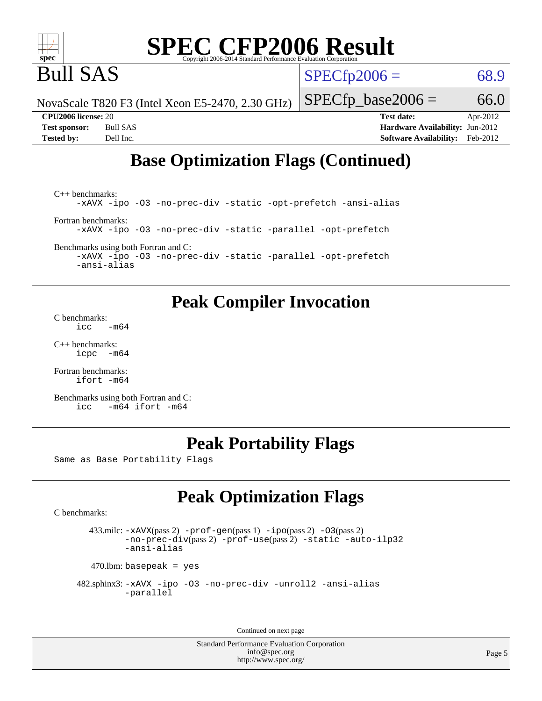

Bull SAS

 $SPECTp2006 = 68.9$ 

NovaScale T820 F3 (Intel Xeon E5-2470, 2.30 GHz)

 $SPECfp\_base2006 = 66.0$ 

**[CPU2006 license:](http://www.spec.org/auto/cpu2006/Docs/result-fields.html#CPU2006license)** 20 **[Test date:](http://www.spec.org/auto/cpu2006/Docs/result-fields.html#Testdate)** Apr-2012 **[Test sponsor:](http://www.spec.org/auto/cpu2006/Docs/result-fields.html#Testsponsor)** Bull SAS **[Hardware Availability:](http://www.spec.org/auto/cpu2006/Docs/result-fields.html#HardwareAvailability)** Jun-2012 **[Tested by:](http://www.spec.org/auto/cpu2006/Docs/result-fields.html#Testedby)** Dell Inc. **[Software Availability:](http://www.spec.org/auto/cpu2006/Docs/result-fields.html#SoftwareAvailability)** Feb-2012

## **[Base Optimization Flags \(Continued\)](http://www.spec.org/auto/cpu2006/Docs/result-fields.html#BaseOptimizationFlags)**

[C++ benchmarks:](http://www.spec.org/auto/cpu2006/Docs/result-fields.html#CXXbenchmarks) [-xAVX](http://www.spec.org/cpu2006/results/res2012q3/cpu2006-20120703-23448.flags.html#user_CXXbase_f-xAVX) [-ipo](http://www.spec.org/cpu2006/results/res2012q3/cpu2006-20120703-23448.flags.html#user_CXXbase_f-ipo) [-O3](http://www.spec.org/cpu2006/results/res2012q3/cpu2006-20120703-23448.flags.html#user_CXXbase_f-O3) [-no-prec-div](http://www.spec.org/cpu2006/results/res2012q3/cpu2006-20120703-23448.flags.html#user_CXXbase_f-no-prec-div) [-static](http://www.spec.org/cpu2006/results/res2012q3/cpu2006-20120703-23448.flags.html#user_CXXbase_f-static) [-opt-prefetch](http://www.spec.org/cpu2006/results/res2012q3/cpu2006-20120703-23448.flags.html#user_CXXbase_f-opt-prefetch) [-ansi-alias](http://www.spec.org/cpu2006/results/res2012q3/cpu2006-20120703-23448.flags.html#user_CXXbase_f-ansi-alias) [Fortran benchmarks](http://www.spec.org/auto/cpu2006/Docs/result-fields.html#Fortranbenchmarks): [-xAVX](http://www.spec.org/cpu2006/results/res2012q3/cpu2006-20120703-23448.flags.html#user_FCbase_f-xAVX) [-ipo](http://www.spec.org/cpu2006/results/res2012q3/cpu2006-20120703-23448.flags.html#user_FCbase_f-ipo) [-O3](http://www.spec.org/cpu2006/results/res2012q3/cpu2006-20120703-23448.flags.html#user_FCbase_f-O3) [-no-prec-div](http://www.spec.org/cpu2006/results/res2012q3/cpu2006-20120703-23448.flags.html#user_FCbase_f-no-prec-div) [-static](http://www.spec.org/cpu2006/results/res2012q3/cpu2006-20120703-23448.flags.html#user_FCbase_f-static) [-parallel](http://www.spec.org/cpu2006/results/res2012q3/cpu2006-20120703-23448.flags.html#user_FCbase_f-parallel) [-opt-prefetch](http://www.spec.org/cpu2006/results/res2012q3/cpu2006-20120703-23448.flags.html#user_FCbase_f-opt-prefetch)

[Benchmarks using both Fortran and C](http://www.spec.org/auto/cpu2006/Docs/result-fields.html#BenchmarksusingbothFortranandC):

[-xAVX](http://www.spec.org/cpu2006/results/res2012q3/cpu2006-20120703-23448.flags.html#user_CC_FCbase_f-xAVX) [-ipo](http://www.spec.org/cpu2006/results/res2012q3/cpu2006-20120703-23448.flags.html#user_CC_FCbase_f-ipo) [-O3](http://www.spec.org/cpu2006/results/res2012q3/cpu2006-20120703-23448.flags.html#user_CC_FCbase_f-O3) [-no-prec-div](http://www.spec.org/cpu2006/results/res2012q3/cpu2006-20120703-23448.flags.html#user_CC_FCbase_f-no-prec-div) [-static](http://www.spec.org/cpu2006/results/res2012q3/cpu2006-20120703-23448.flags.html#user_CC_FCbase_f-static) [-parallel](http://www.spec.org/cpu2006/results/res2012q3/cpu2006-20120703-23448.flags.html#user_CC_FCbase_f-parallel) [-opt-prefetch](http://www.spec.org/cpu2006/results/res2012q3/cpu2006-20120703-23448.flags.html#user_CC_FCbase_f-opt-prefetch) [-ansi-alias](http://www.spec.org/cpu2006/results/res2012q3/cpu2006-20120703-23448.flags.html#user_CC_FCbase_f-ansi-alias)

## **[Peak Compiler Invocation](http://www.spec.org/auto/cpu2006/Docs/result-fields.html#PeakCompilerInvocation)**

[C benchmarks](http://www.spec.org/auto/cpu2006/Docs/result-fields.html#Cbenchmarks):  $\text{icc}$   $-\text{m64}$ 

[C++ benchmarks:](http://www.spec.org/auto/cpu2006/Docs/result-fields.html#CXXbenchmarks) [icpc -m64](http://www.spec.org/cpu2006/results/res2012q3/cpu2006-20120703-23448.flags.html#user_CXXpeak_intel_icpc_64bit_bedb90c1146cab66620883ef4f41a67e)

[Fortran benchmarks](http://www.spec.org/auto/cpu2006/Docs/result-fields.html#Fortranbenchmarks): [ifort -m64](http://www.spec.org/cpu2006/results/res2012q3/cpu2006-20120703-23448.flags.html#user_FCpeak_intel_ifort_64bit_ee9d0fb25645d0210d97eb0527dcc06e)

[Benchmarks using both Fortran and C](http://www.spec.org/auto/cpu2006/Docs/result-fields.html#BenchmarksusingbothFortranandC): [icc -m64](http://www.spec.org/cpu2006/results/res2012q3/cpu2006-20120703-23448.flags.html#user_CC_FCpeak_intel_icc_64bit_0b7121f5ab7cfabee23d88897260401c) [ifort -m64](http://www.spec.org/cpu2006/results/res2012q3/cpu2006-20120703-23448.flags.html#user_CC_FCpeak_intel_ifort_64bit_ee9d0fb25645d0210d97eb0527dcc06e)

## **[Peak Portability Flags](http://www.spec.org/auto/cpu2006/Docs/result-fields.html#PeakPortabilityFlags)**

Same as Base Portability Flags

# **[Peak Optimization Flags](http://www.spec.org/auto/cpu2006/Docs/result-fields.html#PeakOptimizationFlags)**

[C benchmarks](http://www.spec.org/auto/cpu2006/Docs/result-fields.html#Cbenchmarks):

 433.milc: [-xAVX](http://www.spec.org/cpu2006/results/res2012q3/cpu2006-20120703-23448.flags.html#user_peakPASS2_CFLAGSPASS2_LDFLAGS433_milc_f-xAVX)(pass 2) [-prof-gen](http://www.spec.org/cpu2006/results/res2012q3/cpu2006-20120703-23448.flags.html#user_peakPASS1_CFLAGSPASS1_LDFLAGS433_milc_prof_gen_e43856698f6ca7b7e442dfd80e94a8fc)(pass 1) [-ipo](http://www.spec.org/cpu2006/results/res2012q3/cpu2006-20120703-23448.flags.html#user_peakPASS2_CFLAGSPASS2_LDFLAGS433_milc_f-ipo)(pass 2) [-O3](http://www.spec.org/cpu2006/results/res2012q3/cpu2006-20120703-23448.flags.html#user_peakPASS2_CFLAGSPASS2_LDFLAGS433_milc_f-O3)(pass 2) [-no-prec-div](http://www.spec.org/cpu2006/results/res2012q3/cpu2006-20120703-23448.flags.html#user_peakPASS2_CFLAGSPASS2_LDFLAGS433_milc_f-no-prec-div)(pass 2) [-prof-use](http://www.spec.org/cpu2006/results/res2012q3/cpu2006-20120703-23448.flags.html#user_peakPASS2_CFLAGSPASS2_LDFLAGS433_milc_prof_use_bccf7792157ff70d64e32fe3e1250b55)(pass 2) [-static](http://www.spec.org/cpu2006/results/res2012q3/cpu2006-20120703-23448.flags.html#user_peakOPTIMIZE433_milc_f-static) [-auto-ilp32](http://www.spec.org/cpu2006/results/res2012q3/cpu2006-20120703-23448.flags.html#user_peakCOPTIMIZE433_milc_f-auto-ilp32) [-ansi-alias](http://www.spec.org/cpu2006/results/res2012q3/cpu2006-20120703-23448.flags.html#user_peakCOPTIMIZE433_milc_f-ansi-alias)

 $470$ .lbm: basepeak = yes

```
 482.sphinx3: -xAVX -ipo -O3 -no-prec-div -unroll2 -ansi-alias
         -parallel
```
Continued on next page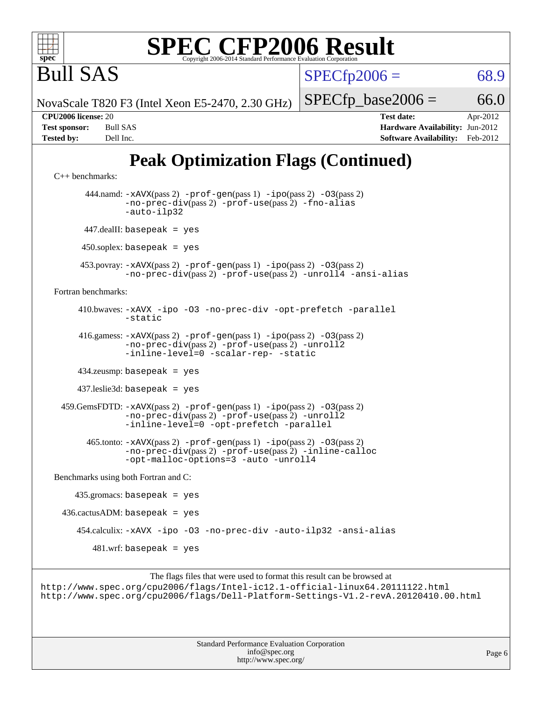

 $SPECTp2006 = 68.9$ 

NovaScale T820 F3 (Intel Xeon E5-2470, 2.30 GHz)

 $SPECTp\_base2006 = 66.0$ 

Bull SAS

**[CPU2006 license:](http://www.spec.org/auto/cpu2006/Docs/result-fields.html#CPU2006license)** 20 **[Test date:](http://www.spec.org/auto/cpu2006/Docs/result-fields.html#Testdate)** Apr-2012 **[Test sponsor:](http://www.spec.org/auto/cpu2006/Docs/result-fields.html#Testsponsor)** Bull SAS **[Hardware Availability:](http://www.spec.org/auto/cpu2006/Docs/result-fields.html#HardwareAvailability)** Jun-2012 **[Tested by:](http://www.spec.org/auto/cpu2006/Docs/result-fields.html#Testedby)** Dell Inc. **[Software Availability:](http://www.spec.org/auto/cpu2006/Docs/result-fields.html#SoftwareAvailability)** Feb-2012

# **[Peak Optimization Flags \(Continued\)](http://www.spec.org/auto/cpu2006/Docs/result-fields.html#PeakOptimizationFlags)**

```
C++ benchmarks: 
        444.namd: -xAVX(pass 2) -prof-gen(pass 1) -ipo(pass 2) -O3(pass 2)
               -no-prec-div(pass 2) -prof-use(pass 2) -fno-alias
                -auto-ilp32
       447.dealII: basepeak = yes
       450.soplex: basepeak = yes
      453.povray: -xAVX(pass 2) -prof-gen(pass 1) -ipo(pass 2) -O3(pass 2)
                -no-prec-div(pass 2) -prof-use(pass 2) -unroll4 -ansi-alias
Fortran benchmarks: 
      410.bwaves: -xAVX -ipo -O3 -no-prec-div -opt-prefetch -parallel
               -static
      416.gamess: -xAVX(pass 2) -prof-gen(pass 1) -ipo(pass 2) -O3(pass 2)
                -no-prec-div(pass 2) -prof-use(pass 2) -unroll2
                -inline-level=0-scalar-rep--static
      434.zeusmp: basepeak = yes
      437.leslie3d: basepeak = yes
  459.GemsFDTD: -xAVX(pass 2) -prof-gen(pass 1) -ipo(pass 2) -O3(pass 2)
                -no-prec-div(pass 2) -prof-use(pass 2) -unroll2
                -inline-level=0 -opt-prefetch -parallel
        465.tonto: -xAVX(pass 2) -prof-gen(pass 1) -ipo(pass 2) -O3(pass 2)
                -no-prec-div(pass 2) -prof-use(pass 2) -inline-calloc
                -opt-malloc-options=3 -auto -unroll4
Benchmarks using both Fortran and C: 
     435.gromacs: basepeak = yes
 436.cactusADM: basepeak = yes 454.calculix: -xAVX -ipo -O3 -no-prec-div -auto-ilp32 -ansi-alias
        481.wrf: basepeak = yes
```
The flags files that were used to format this result can be browsed at <http://www.spec.org/cpu2006/flags/Intel-ic12.1-official-linux64.20111122.html> <http://www.spec.org/cpu2006/flags/Dell-Platform-Settings-V1.2-revA.20120410.00.html>